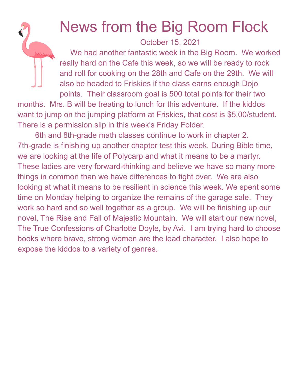## News from the Big Room Flock

October 15, 2021

We had another fantastic week in the Big Room. We worked really hard on the Cafe this week, so we will be ready to rock and roll for cooking on the 28th and Cafe on the 29th. We will also be headed to Friskies if the class earns enough Dojo points. Their classroom goal is 500 total points for their two

months. Mrs. B will be treating to lunch for this adventure. If the kiddos want to jump on the jumping platform at Friskies, that cost is \$5.00/student. There is a permission slip in this week's Friday Folder.

6th and 8th-grade math classes continue to work in chapter 2. 7th-grade is finishing up another chapter test this week. During Bible time, we are looking at the life of Polycarp and what it means to be a martyr. These ladies are very forward-thinking and believe we have so many more things in common than we have differences to fight over. We are also looking at what it means to be resilient in science this week. We spent some time on Monday helping to organize the remains of the garage sale. They work so hard and so well together as a group. We will be finishing up our novel, The Rise and Fall of Majestic Mountain. We will start our new novel, The True Confessions of Charlotte Doyle, by Avi. I am trying hard to choose books where brave, strong women are the lead character. I also hope to expose the kiddos to a variety of genres.